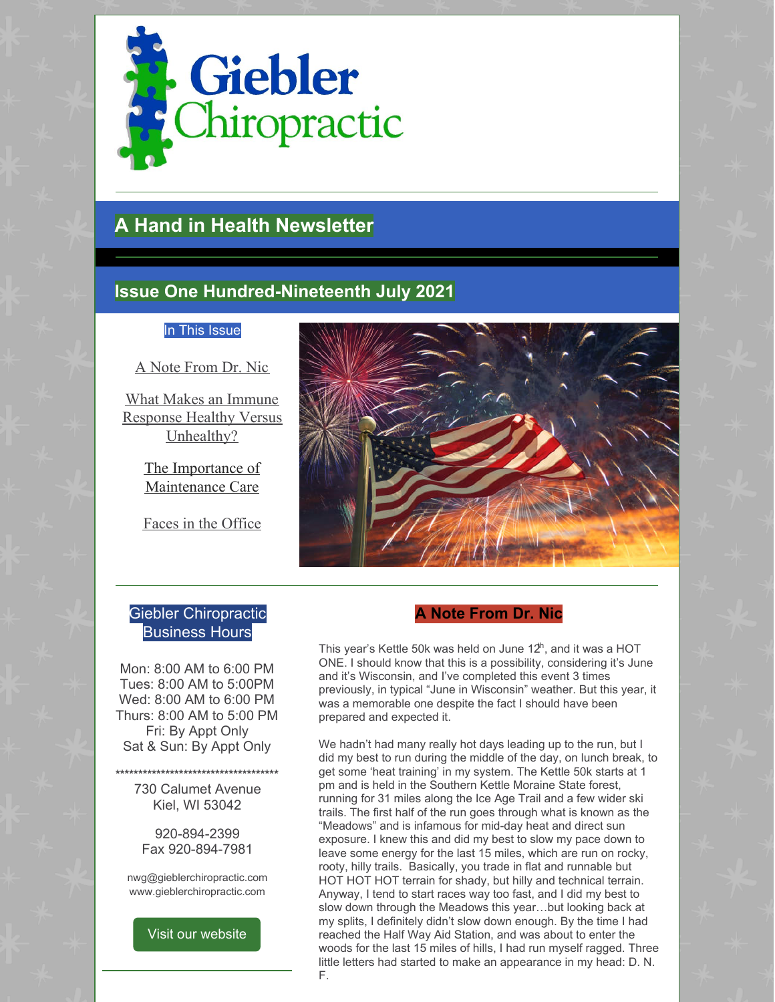

# **A Hand in Health Newsletter**

# **Issue One Hundred-Nineteenth July 2021**

#### In This Issue

A Note From Dr. Nic

What Makes an Immune Response Healthy Versus Unhealthy?

> The Importance of Maintenance Care

Faces in the Office



#### Giebler Chiropractic Business Hours

Mon: 8:00 AM to 6:00 PM Tues: 8:00 AM to 5:00PM Wed: 8:00 AM to 6:00 PM Thurs: 8:00 AM to 5:00 PM Fri: By Appt Only Sat & Sun: By Appt Only

**\*\*\*\*\*\*\*\*\*\*\*\*\*\*\*\*\*\*\*\*\*\*\*\*\*\*\*\*\*\*\*\*\*\*\*\***

730 Calumet Avenue Kiel, WI 53042

920-894-2399 Fax 920-894-7981

nwg@gieblerchiropractic.com www.gieblerchiropractic.com



# **A Note From Dr. Nic**

This year's Kettle 50k was held on June  $12^h$ , and it was a HOT ONE. I should know that this is a possibility, considering it's June and it's Wisconsin, and I've completed this event 3 times previously, in typical "June in Wisconsin" weather. But this year, it was a memorable one despite the fact I should have been prepared and expected it.

We hadn't had many really hot days leading up to the run, but I did my best to run during the middle of the day, on lunch break, to get some 'heat training' in my system. The Kettle 50k starts at 1 pm and is held in the Southern Kettle Moraine State forest, running for 31 miles along the Ice Age Trail and a few wider ski trails. The first half of the run goes through what is known as the "Meadows" and is infamous for mid-day heat and direct sun exposure. I knew this and did my best to slow my pace down to leave some energy for the last 15 miles, which are run on rocky, rooty, hilly trails. Basically, you trade in flat and runnable but HOT HOT HOT terrain for shady, but hilly and technical terrain. Anyway, I tend to start races way too fast, and I did my best to slow down through the Meadows this year…but looking back at my splits, I definitely didn't slow down enough. By the time I had reached the Half Way Aid Station, and was about to enter the woods for the last 15 miles of hills, I had run myself ragged. Three little letters had started to make an appearance in my head: D. N. F.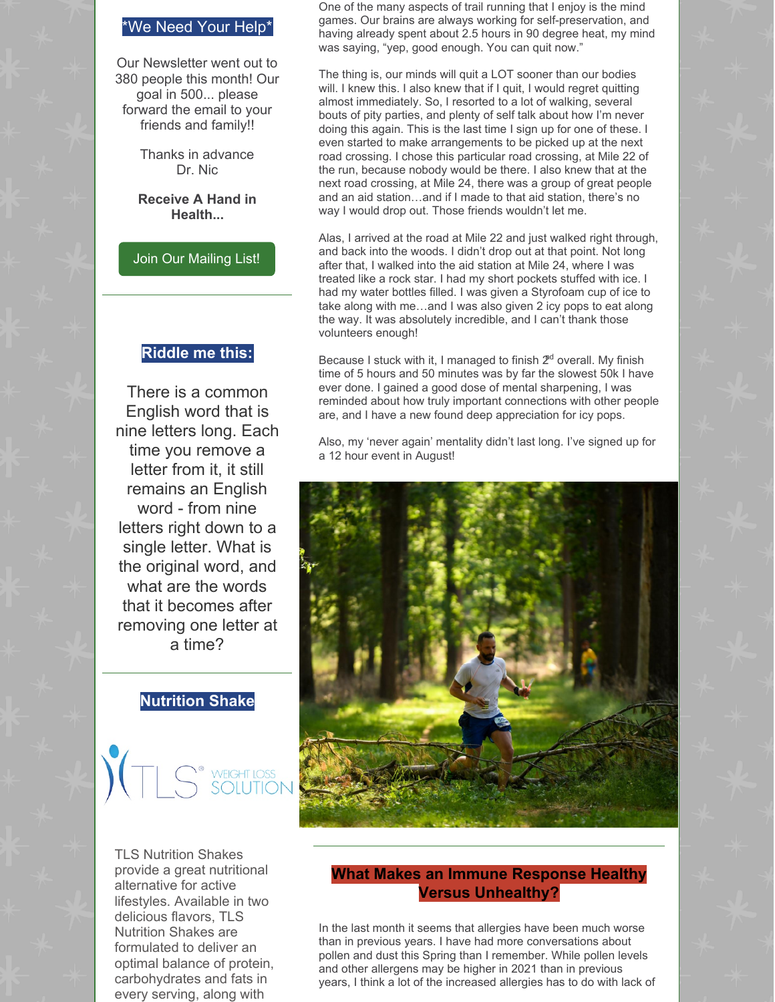#### \*We Need Your Help\*

Our Newsletter went out to 380 people this month! Our goal in 500... please forward the email to your friends and family!!

> Thanks in advance Dr. Nic

#### **Receive A Hand in Health...**

#### Join Our [Mailing](http://www.gieblerchiropractic.com/newsletter/) List!

#### **Riddle me this:**

There is a common English word that is nine letters long. Each time you remove a letter from it, it still remains an English word - from nine letters right down to a single letter. What is the original word, and what are the words that it becomes after removing one letter at a time?

### **Nutrition Shake**

# <sup>o</sup> weight loss<br>) SOLUTIOI

TLS Nutrition Shakes provide a great nutritional alternative for active lifestyles. Available in two delicious flavors, TLS Nutrition Shakes are formulated to deliver an optimal balance of protein, carbohydrates and fats in every serving, along with

One of the many aspects of trail running that I enjoy is the mind games. Our brains are always working for self-preservation, and having already spent about 2.5 hours in 90 degree heat, my mind was saying, "yep, good enough. You can quit now."

The thing is, our minds will quit a LOT sooner than our bodies will. I knew this. I also knew that if I quit, I would regret quitting almost immediately. So, I resorted to a lot of walking, several bouts of pity parties, and plenty of self talk about how I'm never doing this again. This is the last time I sign up for one of these. I even started to make arrangements to be picked up at the next road crossing. I chose this particular road crossing, at Mile 22 of the run, because nobody would be there. I also knew that at the next road crossing, at Mile 24, there was a group of great people and an aid station…and if I made to that aid station, there's no way I would drop out. Those friends wouldn't let me.

Alas, I arrived at the road at Mile 22 and just walked right through, and back into the woods. I didn't drop out at that point. Not long after that, I walked into the aid station at Mile 24, where I was treated like a rock star. I had my short pockets stuffed with ice. I had my water bottles filled. I was given a Styrofoam cup of ice to take along with me…and I was also given 2 icy pops to eat along the way. It was absolutely incredible, and I can't thank those volunteers enough!

Because I stuck with it, I managed to finish  $2<sup>d</sup>$  overall. My finish time of 5 hours and 50 minutes was by far the slowest 50k I have ever done. I gained a good dose of mental sharpening, I was reminded about how truly important connections with other people are, and I have a new found deep appreciation for icy pops.

Also, my 'never again' mentality didn't last long. I've signed up for a 12 hour event in August!



#### **What Makes an Immune Response Healthy Versus Unhealthy?**

In the last month it seems that allergies have been much worse than in previous years. I have had more conversations about pollen and dust this Spring than I remember. While pollen levels and other allergens may be higher in 2021 than in previous years, I think a lot of the increased allergies has to do with lack of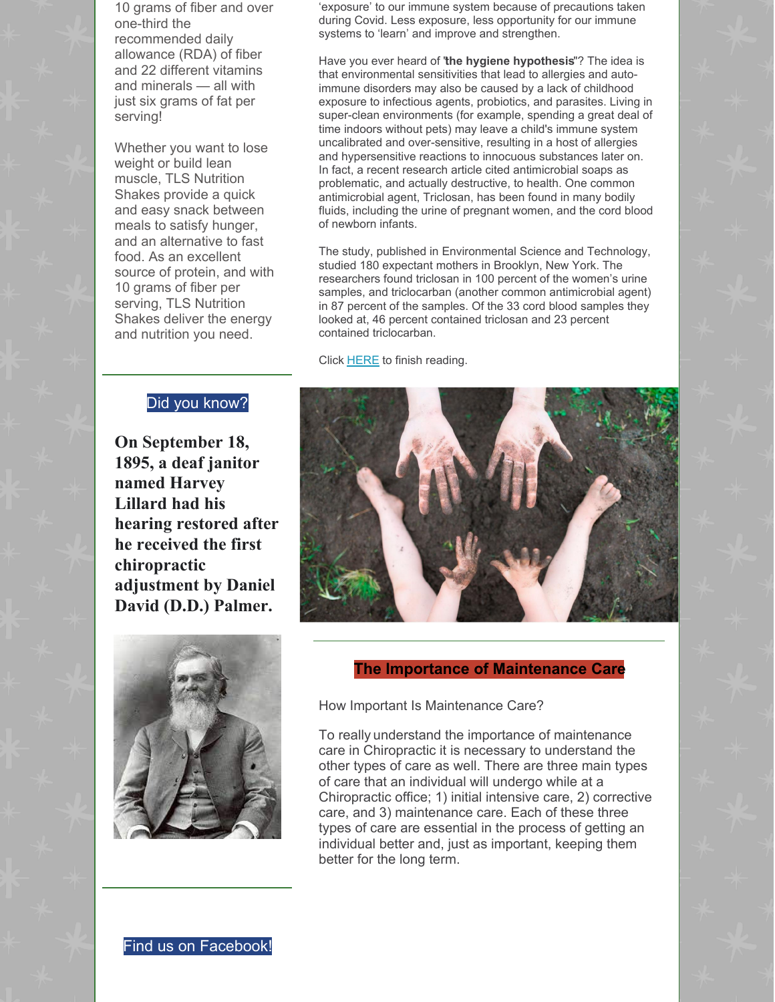10 grams of fiber and over one-third the recommended daily allowance (RDA) of fiber and 22 different vitamins and minerals — all with just six grams of fat per serving!

Whether you want to lose weight or build lean muscle, TLS Nutrition Shakes provide a quick and easy snack between meals to satisfy hunger, and an alternative to fast food. As an excellent source of protein, and with 10 grams of fiber per serving, TLS Nutrition Shakes deliver the energy and nutrition you need.

# Did you know?

**On September 18, 1895, a deaf janitor named Harvey Lillard had his hearing restored after he received the first chiropractic adjustment by Daniel David (D.D.) Palmer.**

'exposure' to our immune system because of precautions taken during Covid. Less exposure, less opportunity for our immune systems to 'learn' and improve and strengthen.

Have you ever heard of "**the hygiene hypothesis**"? The idea is that environmental sensitivities that lead to allergies and autoimmune disorders may also be caused by a lack of childhood exposure to infectious agents, probiotics, and parasites. Living in super-clean environments (for example, spending a great deal of time indoors without pets) may leave a child's immune system uncalibrated and over-sensitive, resulting in a host of allergies and hypersensitive reactions to innocuous substances later on. In fact, a recent research article cited antimicrobial soaps as problematic, and actually destructive, to health. One common antimicrobial agent, Triclosan, has been found in many bodily fluids, including the urine of pregnant women, and the cord blood of newborn infants.

The study, published in Environmental Science and Technology, studied 180 expectant mothers in Brooklyn, New York. The researchers found triclosan in 100 percent of the women's urine samples, and triclocarban (another common antimicrobial agent) in 87 percent of the samples. Of the 33 cord blood samples they looked at, 46 percent contained triclosan and 23 percent contained triclocarban.

Click [HERE](https://gieblerchiropractic.blogspot.com/2021/07/what-makes-immune-response-healthy.html) to finish reading.

![](_page_2_Picture_8.jpeg)

![](_page_2_Picture_9.jpeg)

#### **The Importance of Maintenance Care**

How Important Is Maintenance Care?

To really understand the importance of maintenance care in Chiropractic it is necessary to understand the other types of care as well. There are three main types of care that an individual will undergo while at a Chiropractic office; 1) initial intensive care, 2) corrective care, and 3) maintenance care. Each of these three types of care are essential in the process of getting an individual better and, just as important, keeping them better for the long term.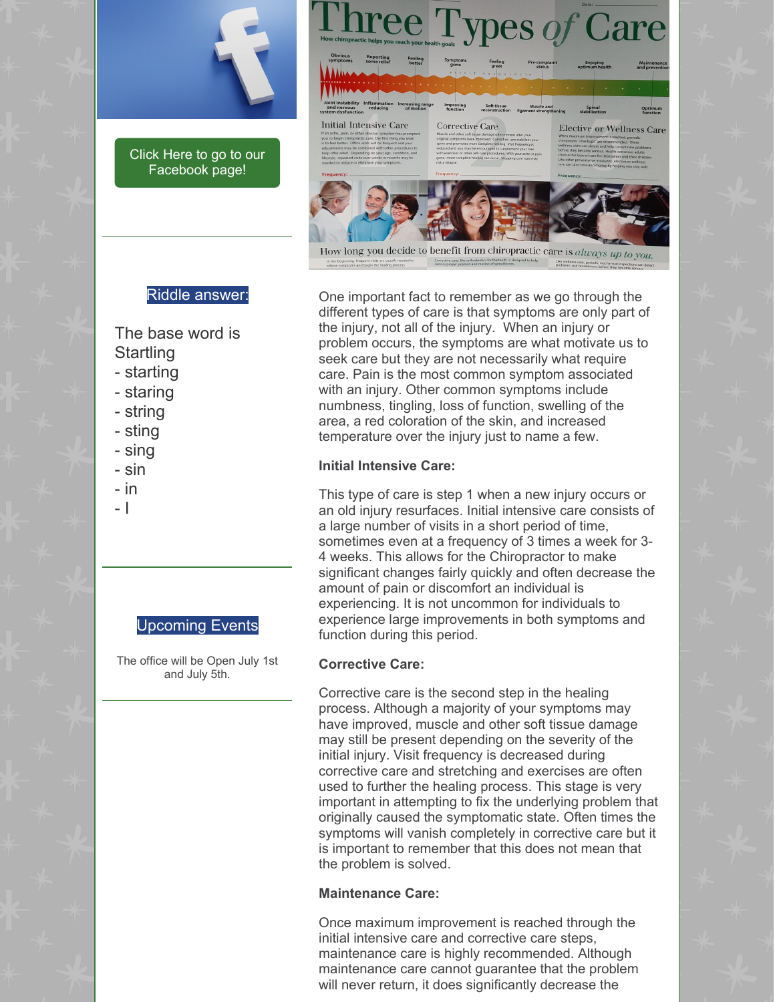![](_page_3_Picture_0.jpeg)

Click Here to go to our [Facebook](https://www.facebook.com/gieblerchiro/) page!

![](_page_3_Picture_2.jpeg)

#### Riddle answer:

The base word is **Startling** 

- starting
- staring
- string
- sting
- sing
- sin
- in
- I

#### Upcoming Events

The office will be Open July 1st and July 5th.

One important fact to remember as we go through the different types of care is that symptoms are only part of the injury, not all of the injury. When an injury or problem occurs, the symptoms are what motivate us to seek care but they are not necessarily what require care. Pain is the most common symptom associated with an injury. Other common symptoms include numbness, tingling, loss of function, swelling of the area, a red coloration of the skin, and increased temperature over the injury just to name a few.

#### **Initial Intensive Care:**

This type of care is step 1 when a new injury occurs or an old injury resurfaces. Initial intensive care consists of a large number of visits in a short period of time, sometimes even at a frequency of 3 times a week for 3- 4 weeks. This allows for the Chiropractor to make significant changes fairly quickly and often decrease the amount of pain or discomfort an individual is experiencing. It is not uncommon for individuals to experience large improvements in both symptoms and function during this period.

#### **Corrective Care:**

Corrective care is the second step in the healing process. Although a majority of your symptoms may have improved, muscle and other soft tissue damage may still be present depending on the severity of the initial injury. Visit frequency is decreased during corrective care and stretching and exercises are often used to further the healing process. This stage is very important in attempting to fix the underlying problem that originally caused the symptomatic state. Often times the symptoms will vanish completely in corrective care but it is important to remember that this does not mean that the problem is solved.

#### **Maintenance Care:**

Once maximum improvement is reached through the initial intensive care and corrective care steps, maintenance care is highly recommended. Although maintenance care cannot guarantee that the problem will never return, it does significantly decrease the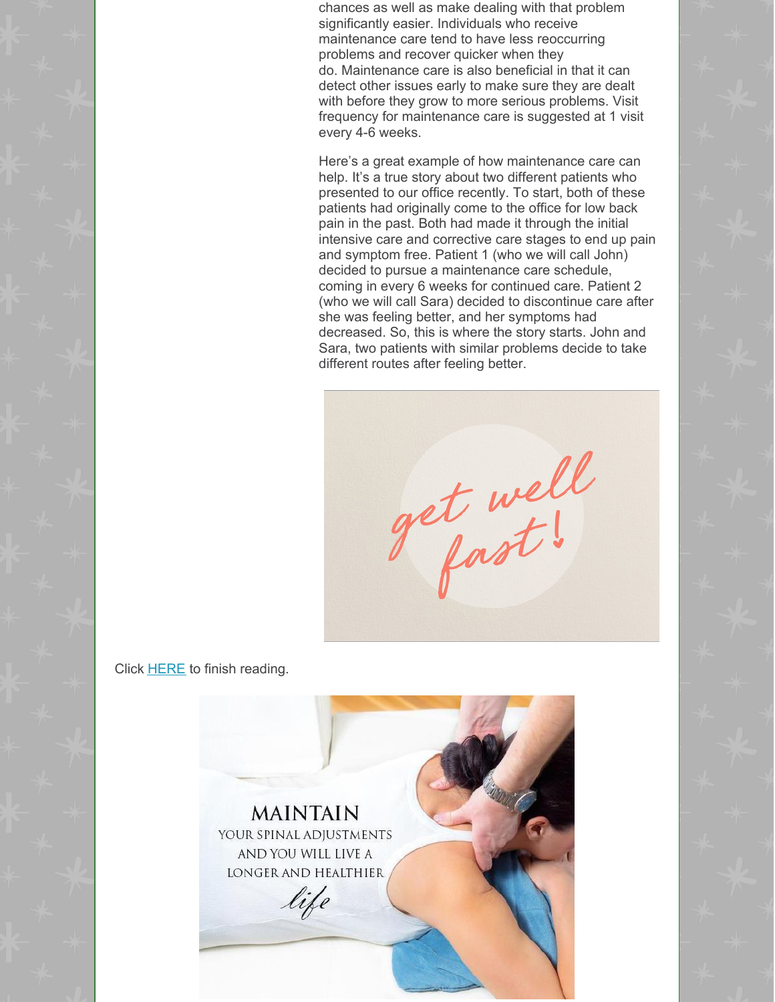chances as well as make dealing with that problem significantly easier. Individuals who receive maintenance care tend to have less reoccurring problems and recover quicker when they do. Maintenance care is also beneficial in that it can detect other issues early to make sure they are dealt with before they grow to more serious problems. Visit frequency for maintenance care is suggested at 1 visit every 4-6 weeks.

Here's a great example of how maintenance care can help. It's a true story about two different patients who presented to our office recently. To start, both of these patients had originally come to the office for low back pain in the past. Both had made it through the initial intensive care and corrective care stages to end up pain and symptom free. Patient 1 (who we will call John) decided to pursue a maintenance care schedule, coming in every 6 weeks for continued care. Patient 2 (who we will call Sara) decided to discontinue care after she was feeling better, and her symptoms had decreased. So, this is where the story starts. John and Sara, two patients with similar problems decide to take different routes after feeling better.

get well

Click [HERE](https://gieblerchiropractic.blogspot.com/2021/07/the-importance-of-maintenance-care.html) to finish reading.

![](_page_4_Picture_4.jpeg)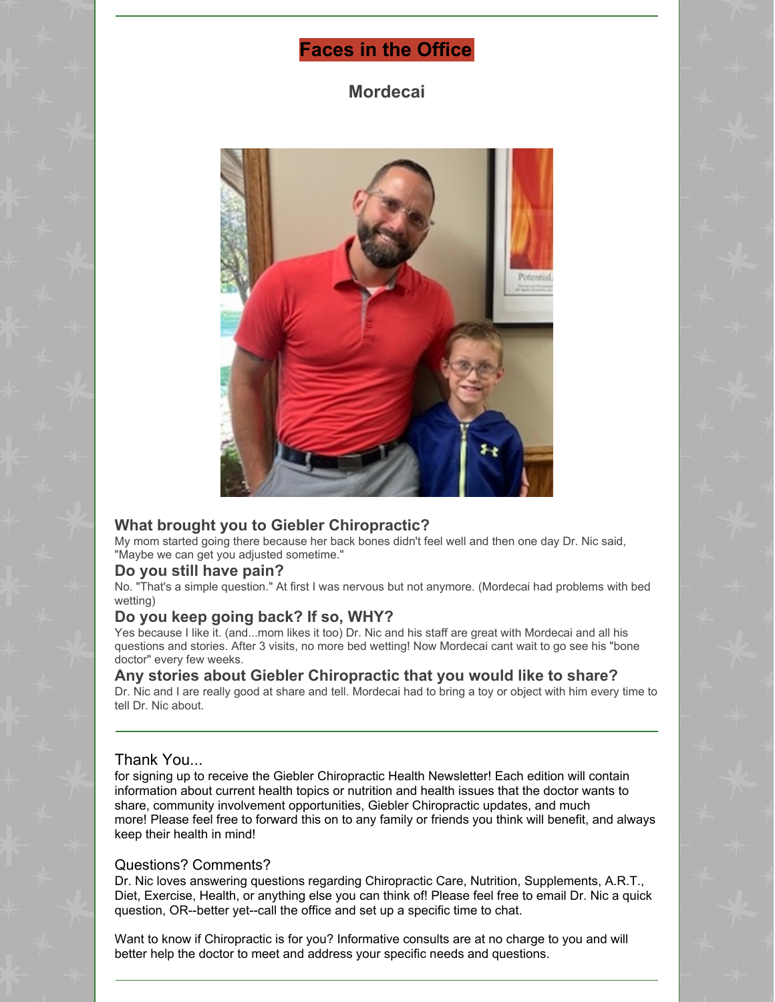# **Faces in the Office**

**Mordecai**

![](_page_5_Picture_2.jpeg)

#### **What brought you to Giebler Chiropractic?**

My mom started going there because her back bones didn't feel well and then one day Dr. Nic said, "Maybe we can get you adjusted sometime."

#### **Do you still have pain?**

No. "That's a simple question." At first I was nervous but not anymore. (Mordecai had problems with bed wetting)

#### **Do you keep going back? If so, WHY?**

Yes because I like it. (and...mom likes it too) Dr. Nic and his staff are great with Mordecai and all his questions and stories. After 3 visits, no more bed wetting! Now Mordecai cant wait to go see his "bone doctor" every few weeks.

#### **Any stories about Giebler Chiropractic that you would like to share?**

Dr. Nic and I are really good at share and tell. Mordecai had to bring a toy or object with him every time to tell Dr. Nic about.

#### Thank You...

for signing up to receive the Giebler Chiropractic Health Newsletter! Each edition will contain information about current health topics or nutrition and health issues that the doctor wants to share, community involvement opportunities, Giebler Chiropractic updates, and much more! Please feel free to forward this on to any family or friends you think will benefit, and always keep their health in mind!

#### Questions? Comments?

Dr. Nic loves answering questions regarding Chiropractic Care, Nutrition, Supplements, A.R.T., Diet, Exercise, Health, or anything else you can think of! Please feel free to email Dr. Nic a quick question, OR--better yet--call the office and set up a specific time to chat.

Want to know if Chiropractic is for you? Informative consults are at no charge to you and will better help the doctor to meet and address your specific needs and questions.